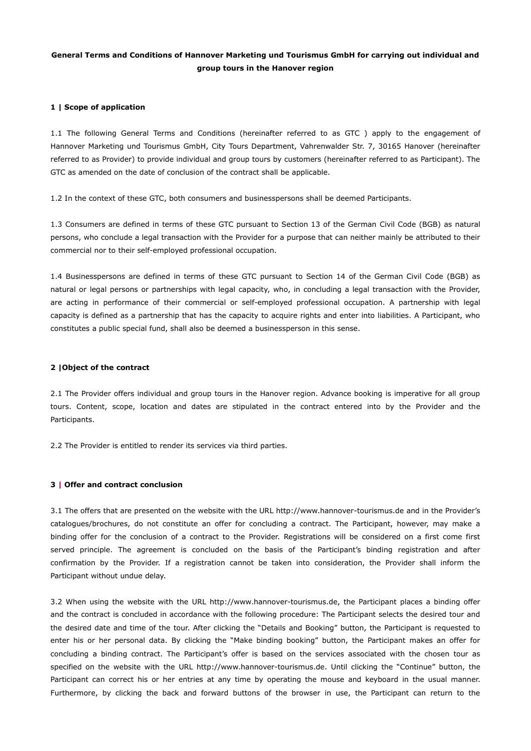# **General Terms and Conditions of Hannover Marketing und Tourismus GmbH for carrying out individual and group tours in the Hanover region**

# **1 | Scope of application**

1.1 The following General Terms and Conditions (hereinafter referred to as GTC ) apply to the engagement of Hannover Marketing und Tourismus GmbH, City Tours Department, Vahrenwalder Str. 7, 30165 Hanover (hereinafter referred to as Provider) to provide individual and group tours by customers (hereinafter referred to as Participant). The GTC as amended on the date of conclusion of the contract shall be applicable.

1.2 In the context of these GTC, both consumers and businesspersons shall be deemed Participants.

1.3 Consumers are defined in terms of these GTC pursuant to Section 13 of the German Civil Code (BGB) as natural persons, who conclude a legal transaction with the Provider for a purpose that can neither mainly be attributed to their commercial nor to their self-employed professional occupation.

1.4 Businesspersons are defined in terms of these GTC pursuant to Section 14 of the German Civil Code (BGB) as natural or legal persons or partnerships with legal capacity, who, in concluding a legal transaction with the Provider, are acting in performance of their commercial or self-employed professional occupation. A partnership with legal capacity is defined as a partnership that has the capacity to acquire rights and enter into liabilities. A Participant, who constitutes a public special fund, shall also be deemed a businessperson in this sense.

### **2 |Object of the contract**

2.1 The Provider offers individual and group tours in the Hanover region. Advance booking is imperative for all group tours. Content, scope, location and dates are stipulated in the contract entered into by the Provider and the Participants.

2.2 The Provider is entitled to render its services via third parties.

# **3 | Offer and contract conclusion**

3.1 The offers that are presented on the website with the URL http://www.hannover-tourismus.de and in the Provider's catalogues/brochures, do not constitute an offer for concluding a contract. The Participant, however, may make a binding offer for the conclusion of a contract to the Provider. Registrations will be considered on a first come first served principle. The agreement is concluded on the basis of the Participant's binding registration and after confirmation by the Provider. If a registration cannot be taken into consideration, the Provider shall inform the Participant without undue delay.

3.2 When using the website with the URL http://www.hannover-tourismus.de, the Participant places a binding offer and the contract is concluded in accordance with the following procedure: The Participant selects the desired tour and the desired date and time of the tour. After clicking the "Details and Booking" button, the Participant is requested to enter his or her personal data. By clicking the "Make binding booking" button, the Participant makes an offer for concluding a binding contract. The Participant's offer is based on the services associated with the chosen tour as specified on the website with the URL http://www.hannover-tourismus.de. Until clicking the "Continue" button, the Participant can correct his or her entries at any time by operating the mouse and keyboard in the usual manner. Furthermore, by clicking the back and forward buttons of the browser in use, the Participant can return to the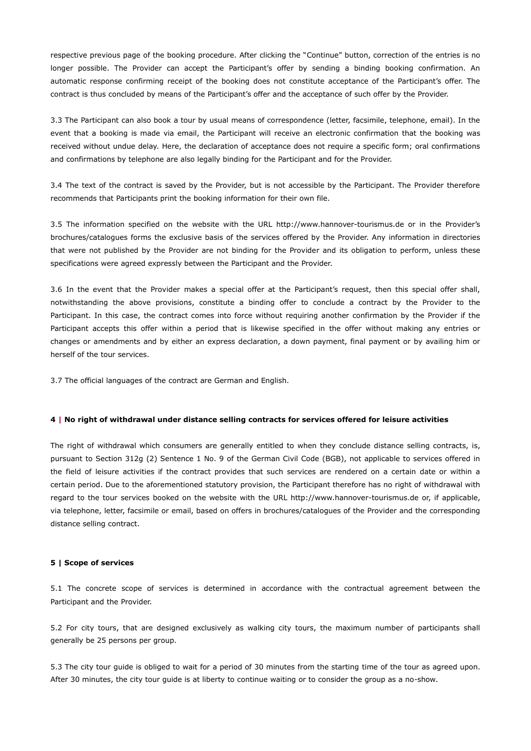respective previous page of the booking procedure. After clicking the "Continue" button, correction of the entries is no longer possible. The Provider can accept the Participant's offer by sending a binding booking confirmation. An automatic response confirming receipt of the booking does not constitute acceptance of the Participant's offer. The contract is thus concluded by means of the Participant's offer and the acceptance of such offer by the Provider.

3.3 The Participant can also book a tour by usual means of correspondence (letter, facsimile, telephone, email). In the event that a booking is made via email, the Participant will receive an electronic confirmation that the booking was received without undue delay. Here, the declaration of acceptance does not require a specific form; oral confirmations and confirmations by telephone are also legally binding for the Participant and for the Provider.

3.4 The text of the contract is saved by the Provider, but is not accessible by the Participant. The Provider therefore recommends that Participants print the booking information for their own file.

3.5 The information specified on the website with the URL http://www.hannover-tourismus.de or in the Provider's brochures/catalogues forms the exclusive basis of the services offered by the Provider. Any information in directories that were not published by the Provider are not binding for the Provider and its obligation to perform, unless these specifications were agreed expressly between the Participant and the Provider.

3.6 In the event that the Provider makes a special offer at the Participant's request, then this special offer shall, notwithstanding the above provisions, constitute a binding offer to conclude a contract by the Provider to the Participant. In this case, the contract comes into force without requiring another confirmation by the Provider if the Participant accepts this offer within a period that is likewise specified in the offer without making any entries or changes or amendments and by either an express declaration, a down payment, final payment or by availing him or herself of the tour services.

3.7 The official languages of the contract are German and English.

### **4 | No right of withdrawal under distance selling contracts for services offered for leisure activities**

The right of withdrawal which consumers are generally entitled to when they conclude distance selling contracts, is, pursuant to Section 312g (2) Sentence 1 No. 9 of the German Civil Code (BGB), not applicable to services offered in the field of leisure activities if the contract provides that such services are rendered on a certain date or within a certain period. Due to the aforementioned statutory provision, the Participant therefore has no right of withdrawal with regard to the tour services booked on the website with the URL http://www.hannover-tourismus.de or, if applicable, via telephone, letter, facsimile or email, based on offers in brochures/catalogues of the Provider and the corresponding distance selling contract.

### **5 | Scope of services**

5.1 The concrete scope of services is determined in accordance with the contractual agreement between the Participant and the Provider.

5.2 For city tours, that are designed exclusively as walking city tours, the maximum number of participants shall generally be 25 persons per group.

5.3 The city tour guide is obliged to wait for a period of 30 minutes from the starting time of the tour as agreed upon. After 30 minutes, the city tour guide is at liberty to continue waiting or to consider the group as a no-show.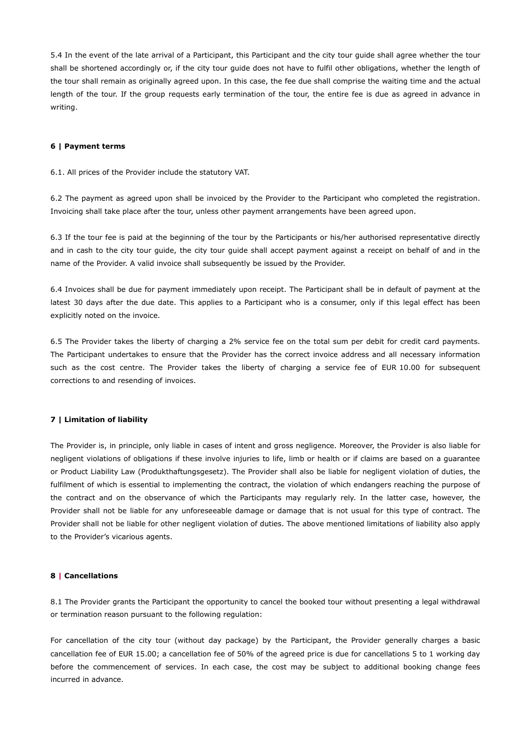5.4 In the event of the late arrival of a Participant, this Participant and the city tour guide shall agree whether the tour shall be shortened accordingly or, if the city tour guide does not have to fulfil other obligations, whether the length of the tour shall remain as originally agreed upon. In this case, the fee due shall comprise the waiting time and the actual length of the tour. If the group requests early termination of the tour, the entire fee is due as agreed in advance in writing.

### **6 | Payment terms**

6.1. All prices of the Provider include the statutory VAT.

6.2 The payment as agreed upon shall be invoiced by the Provider to the Participant who completed the registration. Invoicing shall take place after the tour, unless other payment arrangements have been agreed upon.

6.3 If the tour fee is paid at the beginning of the tour by the Participants or his/her authorised representative directly and in cash to the city tour guide, the city tour guide shall accept payment against a receipt on behalf of and in the name of the Provider. A valid invoice shall subsequently be issued by the Provider.

6.4 Invoices shall be due for payment immediately upon receipt. The Participant shall be in default of payment at the latest 30 days after the due date. This applies to a Participant who is a consumer, only if this legal effect has been explicitly noted on the invoice.

6.5 The Provider takes the liberty of charging a 2% service fee on the total sum per debit for credit card payments. The Participant undertakes to ensure that the Provider has the correct invoice address and all necessary information such as the cost centre. The Provider takes the liberty of charging a service fee of EUR 10.00 for subsequent corrections to and resending of invoices.

### **7 | Limitation of liability**

The Provider is, in principle, only liable in cases of intent and gross negligence. Moreover, the Provider is also liable for negligent violations of obligations if these involve injuries to life, limb or health or if claims are based on a guarantee or Product Liability Law (Produkthaftungsgesetz). The Provider shall also be liable for negligent violation of duties, the fulfilment of which is essential to implementing the contract, the violation of which endangers reaching the purpose of the contract and on the observance of which the Participants may regularly rely. In the latter case, however, the Provider shall not be liable for any unforeseeable damage or damage that is not usual for this type of contract. The Provider shall not be liable for other negligent violation of duties. The above mentioned limitations of liability also apply to the Provider's vicarious agents.

### **8 | Cancellations**

8.1 The Provider grants the Participant the opportunity to cancel the booked tour without presenting a legal withdrawal or termination reason pursuant to the following regulation:

For cancellation of the city tour (without day package) by the Participant, the Provider generally charges a basic cancellation fee of EUR 15.00; a cancellation fee of 50% of the agreed price is due for cancellations 5 to 1 working day before the commencement of services. In each case, the cost may be subject to additional booking change fees incurred in advance.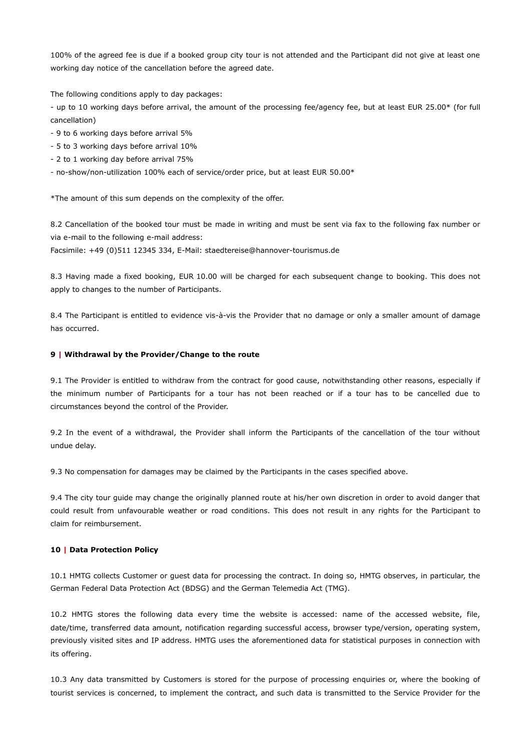100% of the agreed fee is due if a booked group city tour is not attended and the Participant did not give at least one working day notice of the cancellation before the agreed date.

The following conditions apply to day packages:

- up to 10 working days before arrival, the amount of the processing fee/agency fee, but at least EUR 25.00\* (for full cancellation)

- 9 to 6 working days before arrival 5%
- 5 to 3 working days before arrival 10%
- 2 to 1 working day before arrival 75%
- no-show/non-utilization 100% each of service/order price, but at least EUR 50.00\*

\*The amount of this sum depends on the complexity of the offer.

8.2 Cancellation of the booked tour must be made in writing and must be sent via fax to the following fax number or via e-mail to the following e-mail address:

Facsimile: +49 (0)511 12345 334, E-Mail: staedtereise@hannover-tourismus.de

8.3 Having made a fixed booking, EUR 10.00 will be charged for each subsequent change to booking. This does not apply to changes to the number of Participants.

8.4 The Participant is entitled to evidence vis-à-vis the Provider that no damage or only a smaller amount of damage has occurred.

### **9 | Withdrawal by the Provider/Change to the route**

9.1 The Provider is entitled to withdraw from the contract for good cause, notwithstanding other reasons, especially if the minimum number of Participants for a tour has not been reached or if a tour has to be cancelled due to circumstances beyond the control of the Provider.

9.2 In the event of a withdrawal, the Provider shall inform the Participants of the cancellation of the tour without undue delay.

9.3 No compensation for damages may be claimed by the Participants in the cases specified above.

9.4 The city tour guide may change the originally planned route at his/her own discretion in order to avoid danger that could result from unfavourable weather or road conditions. This does not result in any rights for the Participant to claim for reimbursement.

### **10 | Data Protection Policy**

10.1 HMTG collects Customer or guest data for processing the contract. In doing so, HMTG observes, in particular, the German Federal Data Protection Act (BDSG) and the German Telemedia Act (TMG).

10.2 HMTG stores the following data every time the website is accessed: name of the accessed website, file, date/time, transferred data amount, notification regarding successful access, browser type/version, operating system, previously visited sites and IP address. HMTG uses the aforementioned data for statistical purposes in connection with its offering.

10.3 Any data transmitted by Customers is stored for the purpose of processing enquiries or, where the booking of tourist services is concerned, to implement the contract, and such data is transmitted to the Service Provider for the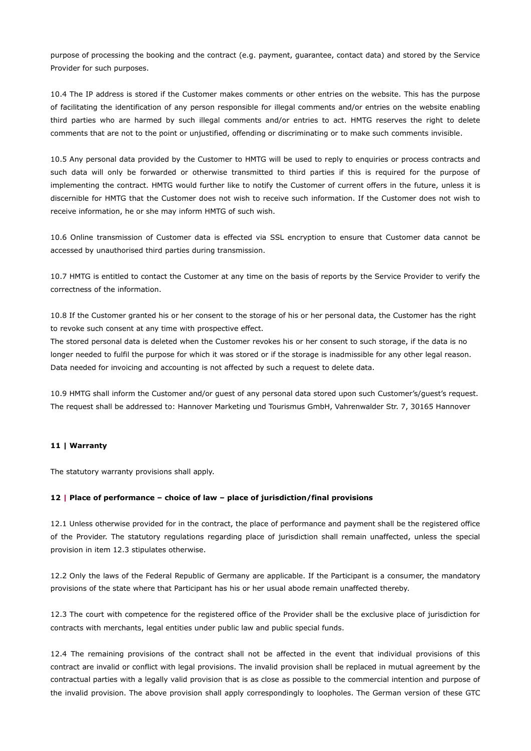purpose of processing the booking and the contract (e.g. payment, guarantee, contact data) and stored by the Service Provider for such purposes.

10.4 The IP address is stored if the Customer makes comments or other entries on the website. This has the purpose of facilitating the identification of any person responsible for illegal comments and/or entries on the website enabling third parties who are harmed by such illegal comments and/or entries to act. HMTG reserves the right to delete comments that are not to the point or unjustified, offending or discriminating or to make such comments invisible.

10.5 Any personal data provided by the Customer to HMTG will be used to reply to enquiries or process contracts and such data will only be forwarded or otherwise transmitted to third parties if this is required for the purpose of implementing the contract. HMTG would further like to notify the Customer of current offers in the future, unless it is discernible for HMTG that the Customer does not wish to receive such information. If the Customer does not wish to receive information, he or she may inform HMTG of such wish.

10.6 Online transmission of Customer data is effected via SSL encryption to ensure that Customer data cannot be accessed by unauthorised third parties during transmission.

10.7 HMTG is entitled to contact the Customer at any time on the basis of reports by the Service Provider to verify the correctness of the information.

10.8 If the Customer granted his or her consent to the storage of his or her personal data, the Customer has the right to revoke such consent at any time with prospective effect.

The stored personal data is deleted when the Customer revokes his or her consent to such storage, if the data is no longer needed to fulfil the purpose for which it was stored or if the storage is inadmissible for any other legal reason. Data needed for invoicing and accounting is not affected by such a request to delete data.

10.9 HMTG shall inform the Customer and/or guest of any personal data stored upon such Customer's/guest's request. The request shall be addressed to: Hannover Marketing und Tourismus GmbH, Vahrenwalder Str. 7, 30165 Hannover

# **11 | Warranty**

The statutory warranty provisions shall apply.

### **12 | Place of performance – choice of law – place of jurisdiction/final provisions**

12.1 Unless otherwise provided for in the contract, the place of performance and payment shall be the registered office of the Provider. The statutory regulations regarding place of jurisdiction shall remain unaffected, unless the special provision in item 12.3 stipulates otherwise.

12.2 Only the laws of the Federal Republic of Germany are applicable. If the Participant is a consumer, the mandatory provisions of the state where that Participant has his or her usual abode remain unaffected thereby.

12.3 The court with competence for the registered office of the Provider shall be the exclusive place of jurisdiction for contracts with merchants, legal entities under public law and public special funds.

12.4 The remaining provisions of the contract shall not be affected in the event that individual provisions of this contract are invalid or conflict with legal provisions. The invalid provision shall be replaced in mutual agreement by the contractual parties with a legally valid provision that is as close as possible to the commercial intention and purpose of the invalid provision. The above provision shall apply correspondingly to loopholes. The German version of these GTC